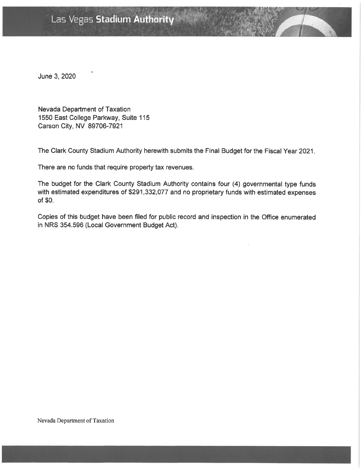# Las Vegas Stadium Authority

June 3, 2020

Nevada Department of Taxation 1550 East College Parkway, Suite 115 Carson City, NV 89706-7921

The Clark County Stadium Authority herewith submits the Final Budget for the Fiscal Year 2021.

There are no funds that require property tax revenues.

The budget for the Clark County Stadium Authority contains four (4) governmental type funds with estimated expenditures of \$291,332,077 and no proprietary funds with estimated expenses of \$0.

Copies of this budget have been filed for public record and inspection in the Office enumerated in NRS 354.596 (Local Government Budget Act).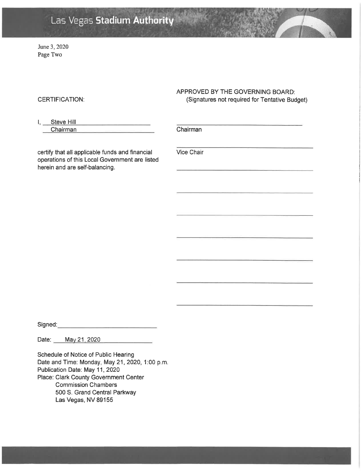# Las Vegas Stadium Authority

June 3, 2020 Page Two

#### **CERTIFICATION:**

## APPROVED BY THE GOVERNING BOARD: (Signatures not required for Tentative Budget)

| Steve Hill |  |
|------------|--|
| Chairman   |  |

Chairman

certify that all applicable funds and financial operations of this Local Government are listed herein and are self-balancing.

Vice Chair

Signed:

Date: May 21, 2020

Schedule of Notice of Public Hearing Date and Time: Monday, May 21, 2020, 1:00 p.m. Publication Date: May 11, 2020 Place: Clark County Government Center **Commission Chambers** 500 S. Grand Central Parkway Las Vegas, NV 89155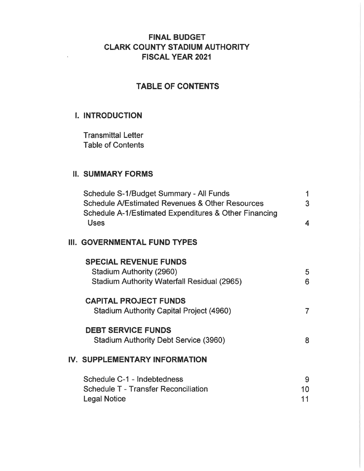## **FINAL BUDGET CLARK COUNTY STADIUM AUTHORITY FISCAL YEAR 2021**

# **TABLE OF CONTENTS**

## **I. INTRODUCTION**

**Transmittal Letter Table of Contents** 

## **II. SUMMARY FORMS**

| Schedule S-1/Budget Summary - All Funds<br><b>Schedule A/Estimated Revenues &amp; Other Resources</b><br>Schedule A-1/Estimated Expenditures & Other Financing | 1<br>3                  |
|----------------------------------------------------------------------------------------------------------------------------------------------------------------|-------------------------|
| Uses                                                                                                                                                           | $\overline{\mathbf{4}}$ |
| III. GOVERNMENTAL FUND TYPES                                                                                                                                   |                         |
| <b>SPECIAL REVENUE FUNDS</b>                                                                                                                                   |                         |
| Stadium Authority (2960)                                                                                                                                       | 5                       |
| <b>Stadium Authority Waterfall Residual (2965)</b>                                                                                                             | 6                       |
| <b>CAPITAL PROJECT FUNDS</b>                                                                                                                                   |                         |
| <b>Stadium Authority Capital Project (4960)</b>                                                                                                                | $\overline{7}$          |
| <b>DEBT SERVICE FUNDS</b>                                                                                                                                      |                         |
| <b>Stadium Authority Debt Service (3960)</b>                                                                                                                   | 8                       |
| <b>IV. SUPPLEMENTARY INFORMATION</b>                                                                                                                           |                         |
| Schedule C-1 - Indebtedness                                                                                                                                    | 9                       |
| <b>Schedule T - Transfer Reconciliation</b>                                                                                                                    | 10                      |
| <b>Legal Notice</b>                                                                                                                                            | 11                      |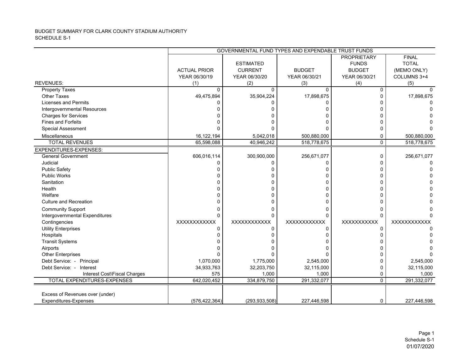#### BUDGET SUMMARY FOR CLARK COUNTY STADIUM AUTHORITY SCHEDULE S-1

|                                 | GOVERNMENTAL FUND TYPES AND EXPENDABLE TRUST FUNDS |                  |               |                    |              |  |  |  |
|---------------------------------|----------------------------------------------------|------------------|---------------|--------------------|--------------|--|--|--|
|                                 |                                                    |                  |               | <b>PROPRIETARY</b> | <b>FINAL</b> |  |  |  |
|                                 |                                                    | <b>ESTIMATED</b> |               | <b>FUNDS</b>       | <b>TOTAL</b> |  |  |  |
|                                 | <b>ACTUAL PRIOR</b>                                | <b>CURRENT</b>   | <b>BUDGET</b> | <b>BUDGET</b>      | (MEMO ONLY)  |  |  |  |
|                                 | YEAR 06/30/19                                      | YEAR 06/30/20    | YEAR 06/30/21 | YEAR 06/30/21      | COLUMNS 3+4  |  |  |  |
| <b>REVENUES:</b>                | (1)                                                | (2)              | (3)           | (4)                | (5)          |  |  |  |
| <b>Property Taxes</b>           | $\Omega$                                           | $\Omega$         | $\Omega$      | $\Omega$           |              |  |  |  |
| <b>Other Taxes</b>              | 49,475,894                                         | 35,904,224       | 17,898,675    | n                  | 17,898,675   |  |  |  |
| <b>Licenses and Permits</b>     |                                                    | n                |               |                    |              |  |  |  |
| Intergovernmental Resources     |                                                    |                  |               |                    |              |  |  |  |
| <b>Charges for Services</b>     |                                                    |                  |               |                    |              |  |  |  |
| <b>Fines and Forfeits</b>       |                                                    |                  |               |                    |              |  |  |  |
| <b>Special Assessment</b>       |                                                    |                  |               |                    |              |  |  |  |
| Miscellaneous                   | 16,122,194                                         | 5,042,018        | 500,880,000   |                    | 500,880,000  |  |  |  |
| <b>TOTAL REVENUES</b>           | 65,598,088                                         | 40,946,242       | 518,778,675   | $\Omega$           | 518,778,675  |  |  |  |
| <b>EXPENDITURES-EXPENSES:</b>   |                                                    |                  |               |                    |              |  |  |  |
| <b>General Government</b>       | 606,016,114                                        | 300,900,000      | 256,671,077   | $\Omega$           | 256,671,077  |  |  |  |
| Judicial                        |                                                    | n                |               |                    |              |  |  |  |
| <b>Public Safety</b>            |                                                    |                  |               |                    |              |  |  |  |
| <b>Public Works</b>             |                                                    |                  |               |                    |              |  |  |  |
| Sanitation                      |                                                    |                  |               |                    |              |  |  |  |
| Health                          |                                                    |                  |               |                    |              |  |  |  |
| Welfare                         |                                                    |                  |               |                    |              |  |  |  |
| <b>Culture and Recreation</b>   |                                                    |                  |               |                    |              |  |  |  |
| <b>Community Support</b>        |                                                    |                  |               |                    |              |  |  |  |
| Intergovernmental Expenditures  | <sup>0</sup>                                       | O                |               | $\Omega$           |              |  |  |  |
| Contingencies                   | XXXXXXXXXXX                                        | XXXXXXXXXXX      | XXXXXXXXXXX   | XXXXXXXXXX         | XXXXXXXXXXX  |  |  |  |
| <b>Utility Enterprises</b>      | <sup>0</sup>                                       | U                |               | n                  |              |  |  |  |
| Hospitals                       |                                                    |                  |               |                    |              |  |  |  |
| <b>Transit Systems</b>          |                                                    |                  |               |                    |              |  |  |  |
| Airports                        |                                                    |                  |               |                    |              |  |  |  |
| <b>Other Enterprises</b>        |                                                    |                  |               |                    |              |  |  |  |
| Debt Service: - Principal       | 1,070,000                                          | 1,775,000        | 2,545,000     |                    | 2,545,000    |  |  |  |
| Debt Service: - Interest        | 34,933,763                                         | 32,203,750       | 32,115,000    | n                  | 32,115,000   |  |  |  |
| Interest Cost\Fiscal Charges    | 575                                                | 1,000            | 1,000         | 0                  | 1,000        |  |  |  |
| TOTAL EXPENDITURES-EXPENSES     | 642,020,452                                        | 334,879,750      | 291,332,077   | $\Omega$           | 291,332,077  |  |  |  |
|                                 |                                                    |                  |               |                    |              |  |  |  |
| Excess of Revenues over (under) |                                                    |                  |               |                    |              |  |  |  |
| Expenditures-Expenses           | (576, 422, 364)                                    | (293, 933, 508)  | 227,446,598   | 0                  | 227,446,598  |  |  |  |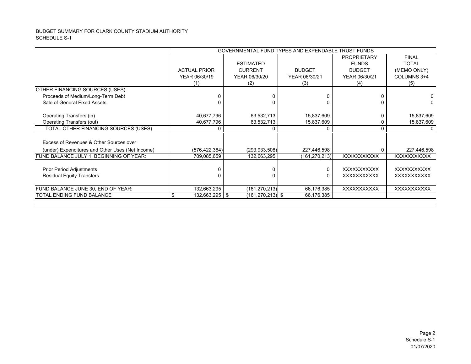#### BUDGET SUMMARY FOR CLARK COUNTY STADIUM AUTHORITY SCHEDULE S-1

|                                                  |                     |                      | GOVERNMENTAL FUND TYPES AND EXPENDABLE TRUST FUNDS |                    |                    |
|--------------------------------------------------|---------------------|----------------------|----------------------------------------------------|--------------------|--------------------|
|                                                  |                     |                      |                                                    | <b>PROPRIETARY</b> | <b>FINAL</b>       |
|                                                  |                     | <b>ESTIMATED</b>     |                                                    | <b>FUNDS</b>       | <b>TOTAL</b>       |
|                                                  | <b>ACTUAL PRIOR</b> | <b>CURRENT</b>       | <b>BUDGET</b>                                      | <b>BUDGET</b>      | (MEMO ONLY)        |
|                                                  | YEAR 06/30/19       | YEAR 06/30/20        | YEAR 06/30/21                                      | YEAR 06/30/21      | COLUMNS 3+4        |
|                                                  | (1)                 | (2)                  | (3)                                                | (4)                | (5)                |
| OTHER FINANCING SOURCES (USES):                  |                     |                      |                                                    |                    |                    |
| Proceeds of Medium/Long-Term Debt                |                     | O                    |                                                    |                    |                    |
| Sale of General Fixed Assets                     |                     |                      |                                                    |                    | O.                 |
|                                                  |                     |                      |                                                    |                    |                    |
| Operating Transfers (in)                         | 40,677,796          | 63,532,713           | 15,837,609                                         |                    | 15,837,609         |
| Operating Transfers (out)                        | 40,677,796          | 63,532,713           | 15,837,609                                         |                    | 15,837,609         |
| TOTAL OTHER FINANCING SOURCES (USES)             | 0                   | 0                    |                                                    |                    |                    |
|                                                  |                     |                      |                                                    |                    |                    |
| Excess of Revenues & Other Sources over          |                     |                      |                                                    |                    |                    |
| (under) Expenditures and Other Uses (Net Income) | (576, 422, 364)     | (293, 933, 508)      | 227,446,598                                        |                    | 227,446,598        |
| FUND BALANCE JULY 1, BEGINNING OF YEAR:          | 709,085,659         | 132,663,295          | (161, 270, 213)                                    | <b>XXXXXXXXXXX</b> | XXXXXXXXXX         |
|                                                  |                     |                      |                                                    |                    |                    |
| <b>Prior Period Adjustments</b>                  |                     | 0                    | 0                                                  | <b>XXXXXXXXXXX</b> | <b>XXXXXXXXXXX</b> |
| <b>Residual Equity Transfers</b>                 |                     | 0                    | U                                                  | <b>XXXXXXXXXXX</b> | <b>XXXXXXXXXXX</b> |
|                                                  |                     |                      |                                                    |                    |                    |
| FUND BALANCE JUNE 30, END OF YEAR:               | 132,663,295         | (161, 270, 213)      | 66,176,385                                         | <b>XXXXXXXXXXX</b> | <b>XXXXXXXXXXX</b> |
| TOTAL ENDING FUND BALANCE                        | 132,663,295   \$    | $(161, 270, 213)$ \$ | 66,176,385                                         |                    |                    |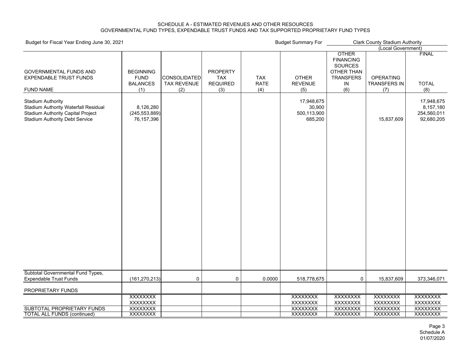#### SCHEDULE A - ESTIMATED REVENUES AND OTHER RESOURCES GOVERNMENTAL FUND TYPES, EXPENDABLE TRUST FUNDS AND TAX SUPPORTED PROPRIETARY FUND TYPES

| Budget for Fiscal Year Ending June 30, 2021                                                                                                           |                                                           | <b>Budget Summary For</b>                 |                                                         | <b>Clark County Stadium Authority</b> |                                                |                                                                                                          |                                                |                                                      |  |
|-------------------------------------------------------------------------------------------------------------------------------------------------------|-----------------------------------------------------------|-------------------------------------------|---------------------------------------------------------|---------------------------------------|------------------------------------------------|----------------------------------------------------------------------------------------------------------|------------------------------------------------|------------------------------------------------------|--|
|                                                                                                                                                       |                                                           |                                           |                                                         |                                       |                                                | (Local Government)                                                                                       |                                                |                                                      |  |
| <b>GOVERNMENTAL FUNDS AND</b><br><b>EXPENDABLE TRUST FUNDS</b><br><b>FUND NAME</b>                                                                    | <b>BEGINNING</b><br><b>FUND</b><br><b>BALANCES</b><br>(1) | CONSOLIDATED<br><b>TAX REVENUE</b><br>(2) | <b>PROPERTY</b><br><b>TAX</b><br><b>REQUIRED</b><br>(3) | <b>TAX</b><br><b>RATE</b><br>(4)      | <b>OTHER</b><br><b>REVENUE</b><br>(5)          | <b>OTHER</b><br><b>FINANCING</b><br><b>SOURCES</b><br><b>OTHER THAN</b><br><b>TRANSFERS</b><br>IN<br>(6) | <b>OPERATING</b><br><b>TRANSFERS IN</b><br>(7) | <b>FINAL</b><br><b>TOTAL</b><br>(8)                  |  |
| <b>Stadium Authority</b><br>Stadium Authority Waterfall Residual<br><b>Stadium Authority Capital Project</b><br><b>Stadium Authority Debt Service</b> | 8,126,280<br>(245, 553, 889)<br>76,157,396                |                                           |                                                         |                                       | 17,948,675<br>30,900<br>500,113,900<br>685,200 |                                                                                                          | 15,837,609                                     | 17,948,675<br>8,157,180<br>254,560,011<br>92,680,205 |  |
| Subtotal Governmental Fund Types,                                                                                                                     |                                                           |                                           |                                                         |                                       |                                                |                                                                                                          |                                                |                                                      |  |
| <b>Expendable Trust Funds</b>                                                                                                                         | (161, 270, 213)                                           | 0                                         | $\mathsf 0$                                             | 0.0000                                | 518,778,675                                    | 0                                                                                                        | 15,837,609                                     | 373,346,071                                          |  |
| PROPRIETARY FUNDS                                                                                                                                     |                                                           |                                           |                                                         |                                       |                                                |                                                                                                          |                                                |                                                      |  |
|                                                                                                                                                       | <b>XXXXXXXX</b>                                           |                                           |                                                         |                                       | XXXXXXX                                        | XXXXXXX                                                                                                  | XXXXXXX                                        | <b>XXXXXXXX</b>                                      |  |
|                                                                                                                                                       | XXXXXXX                                                   |                                           |                                                         |                                       | XXXXXXXX                                       | <b>XXXXXXXX</b>                                                                                          | <b>XXXXXXXX</b>                                | XXXXXXX                                              |  |
| SUBTOTAL PROPRIETARY FUNDS                                                                                                                            | XXXXXXX                                                   |                                           |                                                         |                                       | <b>XXXXXXXX</b>                                | <b>XXXXXXXX</b>                                                                                          | <b>XXXXXXXX</b>                                | <b>XXXXXXXX</b>                                      |  |
| <b>TOTAL ALL FUNDS (continued)</b>                                                                                                                    | XXXXXXX                                                   |                                           |                                                         |                                       | XXXXXXXX                                       | XXXXXXX                                                                                                  | XXXXXXX                                        | <b>XXXXXXXX</b>                                      |  |

Page 3 Schedule A 01/07/2020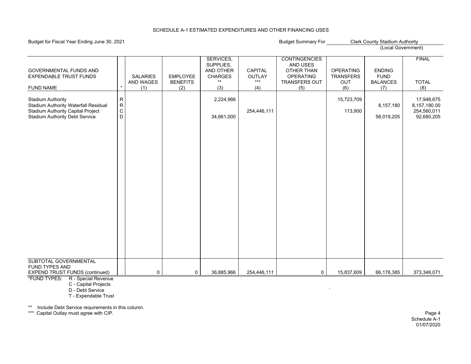#### SCHEDULE A-1 ESTIMATED EXPENDITURES AND OTHER FINANCING USES

#### Budget for Fiscal Year Ending June 30, 2021 **Budget Summary For Fiscal Year Ending June 30, 2021** Budget Summary For

|                                                           |                        |                 |                 | SERVICES,      |             | <b>CONTINGENCIES</b> |                  |                 | <b>FINAL</b>               |
|-----------------------------------------------------------|------------------------|-----------------|-----------------|----------------|-------------|----------------------|------------------|-----------------|----------------------------|
|                                                           |                        |                 |                 | SUPPLIES,      |             | AND USES             |                  |                 |                            |
| <b>GOVERNMENTAL FUNDS AND</b>                             |                        |                 |                 | AND OTHER      | CAPITAL     | OTHER THAN           | <b>OPERATING</b> | <b>ENDING</b>   |                            |
| <b>EXPENDABLE TRUST FUNDS</b>                             |                        | <b>SALARIES</b> | <b>EMPLOYEE</b> | <b>CHARGES</b> | OUTLAY      | <b>OPERATING</b>     | <b>TRANSFERS</b> | <b>FUND</b>     |                            |
|                                                           |                        | AND WAGES       | <b>BENEFITS</b> | $***$          | $***$       | <b>TRANSFERS OUT</b> | OUT              | <b>BALANCES</b> | <b>TOTAL</b>               |
| <b>FUND NAME</b>                                          |                        | (1)             | (2)             | (3)            | (4)         | (5)                  | (6)              | (7)             | (8)                        |
|                                                           |                        |                 |                 |                |             |                      |                  |                 |                            |
| Stadium Authority<br>Stadium Authority Waterfall Residual | ${\sf R}$<br>${\sf R}$ |                 |                 | 2,224,966      |             |                      | 15,723,709       |                 | 17,948,675<br>8,157,180.00 |
| Stadium Authority Capital Project                         | $\mathsf C$            |                 |                 |                | 254,446,111 |                      | 113,900          | 8,157,180       | 254,560,011                |
| <b>Stadium Authority Debt Service</b>                     | D                      |                 |                 | 34,661,000     |             |                      |                  |                 | 92,680,205                 |
|                                                           |                        |                 |                 |                |             |                      |                  | 58,019,205      |                            |
|                                                           |                        |                 |                 |                |             |                      |                  |                 |                            |
|                                                           |                        |                 |                 |                |             |                      |                  |                 |                            |
|                                                           |                        |                 |                 |                |             |                      |                  |                 |                            |
|                                                           |                        |                 |                 |                |             |                      |                  |                 |                            |
|                                                           |                        |                 |                 |                |             |                      |                  |                 |                            |
|                                                           |                        |                 |                 |                |             |                      |                  |                 |                            |
|                                                           |                        |                 |                 |                |             |                      |                  |                 |                            |
|                                                           |                        |                 |                 |                |             |                      |                  |                 |                            |
|                                                           |                        |                 |                 |                |             |                      |                  |                 |                            |
|                                                           |                        |                 |                 |                |             |                      |                  |                 |                            |
|                                                           |                        |                 |                 |                |             |                      |                  |                 |                            |
|                                                           |                        |                 |                 |                |             |                      |                  |                 |                            |
|                                                           |                        |                 |                 |                |             |                      |                  |                 |                            |
|                                                           |                        |                 |                 |                |             |                      |                  |                 |                            |
|                                                           |                        |                 |                 |                |             |                      |                  |                 |                            |
|                                                           |                        |                 |                 |                |             |                      |                  |                 |                            |
|                                                           |                        |                 |                 |                |             |                      |                  |                 |                            |
|                                                           |                        |                 |                 |                |             |                      |                  |                 |                            |
|                                                           |                        |                 |                 |                |             |                      |                  |                 |                            |
|                                                           |                        |                 |                 |                |             |                      |                  |                 |                            |
|                                                           |                        |                 |                 |                |             |                      |                  |                 |                            |
|                                                           |                        |                 |                 |                |             |                      |                  |                 |                            |
| SUBTOTAL GOVERNMENTAL                                     |                        |                 |                 |                |             |                      |                  |                 |                            |
| FUND TYPES AND                                            |                        |                 |                 |                |             |                      |                  |                 |                            |
| <b>EXPEND TRUST FUNDS (continued)</b>                     |                        | 0               | 0               | 36,885,966     | 254,446,111 | $\mathsf{O}$         | 15,837,609       | 66,176,385      | 373,346,071                |
| <b>*FUND TVDEC: D. Createl Devenue</b>                    |                        |                 |                 |                |             |                      |                  |                 |                            |

\*FUND TYPES: R - Special Revenue

C - Capital Projects

 D - Debt Servicee de la construction de la construction de la construction de la construction de la construction de la construction de la construction de la construction de la construction de la construction de la construction de la const

T - Expendable Trust

\*\* Include Debt Service requirements in this column.

\*\*\* Capital Outlay must agree with CIP. Page 4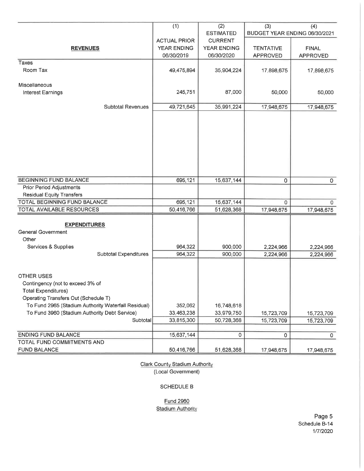|                                                                                                      | (1)                                       | (2)                                  | (3)                      | (4)                           |
|------------------------------------------------------------------------------------------------------|-------------------------------------------|--------------------------------------|--------------------------|-------------------------------|
|                                                                                                      |                                           | <b>ESTIMATED</b>                     |                          | BUDGET YEAR ENDING 06/30/2021 |
|                                                                                                      | <b>ACTUAL PRIOR</b><br><b>YEAR ENDING</b> | <b>CURRENT</b><br><b>YEAR ENDING</b> | <b>TENTATIVE</b>         | <b>FINAL</b>                  |
| <b>REVENUES</b>                                                                                      | 06/30/2019                                | 06/30/2020                           | <b>APPROVED</b>          | <b>APPROVED</b>               |
| Taxes                                                                                                |                                           |                                      |                          |                               |
| Room Tax                                                                                             | 49,475,894                                | 35,904,224                           | 17,898,675               | 17,898,675                    |
| Miscellaneous                                                                                        |                                           |                                      |                          |                               |
| Interest Earnings                                                                                    | 245,751                                   | 87,000                               | 50,000                   | 50,000                        |
|                                                                                                      |                                           |                                      |                          |                               |
| <b>Subtotal Revenues</b>                                                                             | 49,721,645                                | 35,991,224                           | 17,948,675               | 17,948,675                    |
|                                                                                                      |                                           |                                      |                          |                               |
|                                                                                                      |                                           |                                      |                          |                               |
|                                                                                                      |                                           |                                      |                          |                               |
|                                                                                                      |                                           |                                      |                          |                               |
|                                                                                                      |                                           |                                      |                          |                               |
|                                                                                                      |                                           |                                      |                          |                               |
|                                                                                                      |                                           |                                      |                          |                               |
|                                                                                                      |                                           |                                      |                          |                               |
| <b>BEGINNING FUND BALANCE</b>                                                                        | 695,121                                   | 15,637,144                           |                          | $\mathsf{o}$                  |
| Prior Period Adjustments                                                                             |                                           |                                      | 0                        |                               |
| <b>Residual Equity Transfers</b>                                                                     |                                           |                                      |                          |                               |
| TOTAL BEGINNING FUND BALANCE                                                                         | 695,121                                   | 15,637,144                           | $\Omega$                 | $\mathbf{O}$                  |
| TOTAL AVAILABLE RESOURCES                                                                            | 50,416,766                                | 51,628,368                           | 17,948,675               | 17,948,675                    |
|                                                                                                      |                                           |                                      |                          |                               |
| <b>EXPENDITURES</b>                                                                                  |                                           |                                      |                          |                               |
| <b>General Government</b>                                                                            |                                           |                                      |                          |                               |
| Other                                                                                                |                                           |                                      |                          |                               |
| Services & Supplies                                                                                  | 964,322                                   | 900,000                              | 2,224,966                | 2,224,966                     |
| <b>Subtotal Expenditures</b>                                                                         | 964,322                                   | 900,000                              | 2,224,966                | 2,224,966                     |
|                                                                                                      |                                           |                                      |                          |                               |
|                                                                                                      |                                           |                                      |                          |                               |
| <b>OTHER USES</b>                                                                                    |                                           |                                      |                          |                               |
| Contingency (not to exceed 3% of                                                                     |                                           |                                      |                          |                               |
| <b>Total Expenditures)</b>                                                                           |                                           |                                      |                          |                               |
| Operating Transfers Out (Schedule T)                                                                 |                                           |                                      |                          |                               |
| To Fund 2965 (Stadium Authority Waterfall Residual)<br>To Fund 3960 (Stadium Authority Debt Service) | 352,062<br>33,463,238                     | 16,748,618<br>33,979,750             |                          |                               |
| Subtotal                                                                                             | 33,815,300                                | 50,728,368                           | 15,723,709<br>15,723,709 | 15,723,709                    |
|                                                                                                      |                                           |                                      |                          | 15,723,709                    |
| <b>ENDING FUND BALANCE</b>                                                                           | 15,637,144                                | 0                                    | 0                        | $\mathsf{o}$                  |
| TOTAL FUND COMMITMENTS AND                                                                           |                                           |                                      |                          |                               |
| <b>FUND BALANCE</b>                                                                                  | 50,416,766                                | 51,628,368                           | 17,948,675               | 17,948,675                    |

Clark County Stadium Authority (Local Government)

### **SCHEDULE B**

**Fund 2960** 

**Stadium Authority**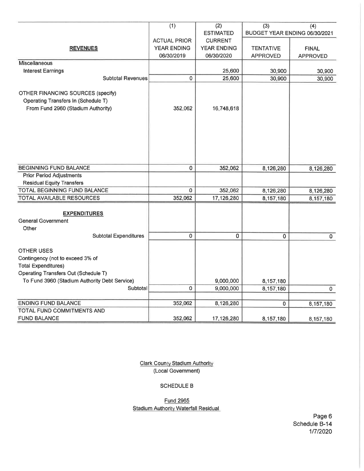|                                               | (1)                 | (2)                | (3)                           | (4)             |
|-----------------------------------------------|---------------------|--------------------|-------------------------------|-----------------|
|                                               |                     | <b>ESTIMATED</b>   | BUDGET YEAR ENDING 06/30/2021 |                 |
|                                               | <b>ACTUAL PRIOR</b> | <b>CURRENT</b>     |                               |                 |
| <b>REVENUES</b>                               | <b>YEAR ENDING</b>  | <b>YEAR ENDING</b> | <b>TENTATIVE</b>              | <b>FINAL</b>    |
|                                               | 06/30/2019          | 06/30/2020         | <b>APPROVED</b>               | <b>APPROVED</b> |
| <b>Miscellaneous</b>                          |                     |                    |                               |                 |
| <b>Interest Earnings</b>                      |                     | 25,600             | 30,900                        | 30,900          |
| Subtotal Revenues                             | $\overline{0}$      | 25,600             | 30,900                        | 30,900          |
|                                               |                     |                    |                               |                 |
| <b>OTHER FINANCING SOURCES (specify)</b>      |                     |                    |                               |                 |
| Operating Transfers In (Schedule T)           |                     |                    |                               |                 |
| From Fund 2960 (Stadium Authority)            | 352,062             | 16,748,618         |                               |                 |
|                                               |                     |                    |                               |                 |
|                                               |                     |                    |                               |                 |
|                                               |                     |                    |                               |                 |
|                                               |                     |                    |                               |                 |
|                                               |                     |                    |                               |                 |
|                                               |                     |                    |                               |                 |
| <b>BEGINNING FUND BALANCE</b>                 | 0                   | 352,062            | 8,126,280                     | 8,126,280       |
| <b>Prior Period Adjustments</b>               |                     |                    |                               |                 |
| <b>Residual Equity Transfers</b>              |                     |                    |                               |                 |
| TOTAL BEGINNING FUND BALANCE                  | $\mathbf 0$         | 352,062            | 8,126,280                     | 8,126,280       |
| TOTAL AVAILABLE RESOURCES                     | 352,062             | 17,126,280         | 8,157,180                     | 8,157,180       |
|                                               |                     |                    |                               |                 |
| <b>EXPENDITURES</b>                           |                     |                    |                               |                 |
| <b>General Government</b>                     |                     |                    |                               |                 |
| Other                                         |                     |                    |                               |                 |
| <b>Subtotal Expenditures</b>                  | 0                   | $\overline{0}$     | $\mathbf 0$                   | $\mathbf 0$     |
|                                               |                     |                    |                               |                 |
| <b>OTHER USES</b>                             |                     |                    |                               |                 |
| Contingency (not to exceed 3% of              |                     |                    |                               |                 |
| <b>Total Expenditures)</b>                    |                     |                    |                               |                 |
| Operating Transfers Out (Schedule T)          |                     |                    |                               |                 |
| To Fund 3960 (Stadium Authority Debt Service) |                     | 9,000,000          | 8,157,180                     |                 |
| Subtotal                                      | 0                   | 9,000,000          | 8,157,180                     | $\mathbf{0}$    |
|                                               |                     |                    |                               |                 |
| <b>ENDING FUND BALANCE</b>                    | 352,062             | 8,126,280          | $\overline{0}$                | 8,157,180       |
| TOTAL FUND COMMITMENTS AND                    |                     |                    |                               |                 |
| <b>FUND BALANCE</b>                           | 352,062             | 17,126,280         | 8,157,180                     | 8,157,180       |

**Clark County Stadium Authority** (Local Government)

### SCHEDULE B

**Fund 2965 Stadium Authority Waterfall Residual** 

Page 6 Schedule B-14 1/7/2020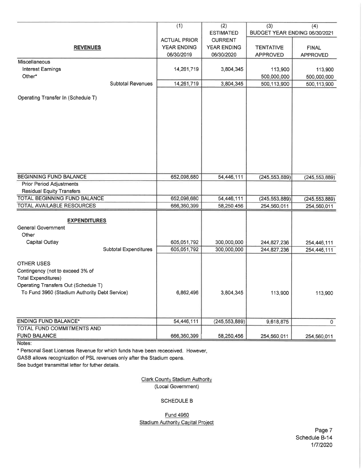|                                               | (1)                 | (2)<br><b>ESTIMATED</b> | (3)<br>BUDGET YEAR ENDING 06/30/2021 | (4)             |
|-----------------------------------------------|---------------------|-------------------------|--------------------------------------|-----------------|
|                                               | <b>ACTUAL PRIOR</b> | <b>CURRENT</b>          |                                      |                 |
| <b>REVENUES</b>                               | YEAR ENDING         | YEAR ENDING             | <b>TENTATIVE</b>                     | <b>FINAL</b>    |
|                                               | 06/30/2019          | 06/30/2020              | <b>APPROVED</b>                      | <b>APPROVED</b> |
| Miscellaneous                                 |                     |                         |                                      |                 |
| <b>Interest Earnings</b>                      | 14,261,719          | 3,804,345               | 113,900                              | 113,900         |
| Other*                                        |                     |                         | 500,000,000                          | 500,000,000     |
| <b>Subtotal Revenues</b>                      | 14,261,719          | 3,804,345               | 500,113,900                          | 500, 113, 900   |
|                                               |                     |                         |                                      |                 |
| Operating Transfer In (Schedule T)            |                     |                         |                                      |                 |
|                                               |                     |                         |                                      |                 |
|                                               |                     |                         |                                      |                 |
|                                               |                     |                         |                                      |                 |
|                                               |                     |                         |                                      |                 |
|                                               |                     |                         |                                      |                 |
|                                               |                     |                         |                                      |                 |
|                                               |                     |                         |                                      |                 |
|                                               |                     |                         |                                      |                 |
|                                               |                     |                         |                                      |                 |
| <b>BEGINNING FUND BALANCE</b>                 | 652,098,680         | 54,446,111              | (245, 553, 889)                      | (245, 553, 889) |
| <b>Prior Period Adjustments</b>               |                     |                         |                                      |                 |
| <b>Residual Equity Transfers</b>              |                     |                         |                                      |                 |
| TOTAL BEGINNING FUND BALANCE                  | 652,098,680         | 54,446,111              | (245, 553, 889)                      | (245, 553, 889) |
| TOTAL AVAILABLE RESOURCES                     | 666,360,399         | 58,250,456              | 254,560,011                          | 254,560,011     |
|                                               |                     |                         |                                      |                 |
| <b>EXPENDITURES</b>                           |                     |                         |                                      |                 |
| <b>General Government</b>                     |                     |                         |                                      |                 |
| Other                                         |                     |                         |                                      |                 |
| Capital Outlay                                | 605,051,792         | 300,000,000             | 244,827,236                          | 254,446,111     |
| Subtotal Expenditures                         | 605,051,792         | 300,000,000             | 244,827,236                          | 254,446,111     |
| <b>OTHER USES</b>                             |                     |                         |                                      |                 |
| Contingency (not to exceed 3% of              |                     |                         |                                      |                 |
| <b>Total Expenditures)</b>                    |                     |                         |                                      |                 |
| Operating Transfers Out (Schedule T)          |                     |                         |                                      |                 |
| To Fund 3960 (Stadium Authority Debt Service) | 6,862,496           | 3,804,345               | 113,900                              | 113,900         |
|                                               |                     |                         |                                      |                 |
|                                               |                     |                         |                                      |                 |
|                                               |                     |                         |                                      |                 |
| <b>ENDING FUND BALANCE*</b>                   | 54,446,111          | (245, 553, 889)         | 9,618,875                            | $\overline{0}$  |
| TOTAL FUND COMMITMENTS AND                    |                     |                         |                                      |                 |
| <b>FUND BALANCE</b>                           | 666,360,399         | 58,250,456              | 254,560,011                          | 254,560,011     |

Notes:

\* Personal Seat Licenses Revenue for which funds have been receceived. However,

GASB allows recognization of PSL revenues only after the Stadium opens.

See budget transmittal letter for futher details.

**Clark County Stadium Authority** (Local Government)

#### **SCHEDULE B**

#### **Fund 4960 Stadium Authority Capital Project**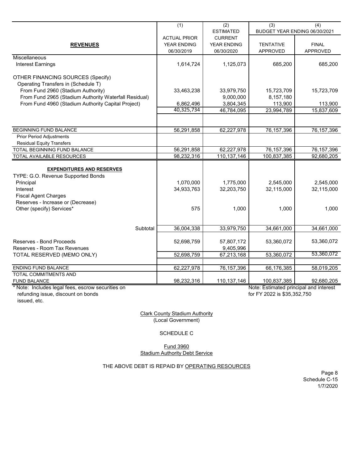|                                                       | (1)                 | (2)              | (3)                                    | (4)                             |
|-------------------------------------------------------|---------------------|------------------|----------------------------------------|---------------------------------|
|                                                       |                     | <b>ESTIMATED</b> | BUDGET YEAR ENDING 06/30/2021          |                                 |
|                                                       | <b>ACTUAL PRIOR</b> | <b>CURRENT</b>   |                                        |                                 |
| <b>REVENUES</b>                                       | YEAR ENDING         | YEAR ENDING      | <b>TENTATIVE</b>                       | <b>FINAL</b><br><b>APPROVED</b> |
| Miscellaneous                                         | 06/30/2019          | 06/30/2020       | <b>APPROVED</b>                        |                                 |
| <b>Interest Earnings</b>                              | 1,614,724           | 1,125,073        | 685,200                                | 685,200                         |
|                                                       |                     |                  |                                        |                                 |
| <b>OTHER FINANCING SOURCES (Specify)</b>              |                     |                  |                                        |                                 |
| Operating Transfers in (Schedule T)                   |                     |                  |                                        |                                 |
| From Fund 2960 (Stadium Authority)                    | 33,463,238          | 33,979,750       | 15,723,709                             | 15,723,709                      |
| From Fund 2965 (Stadium Authority Waterfall Residual) |                     | 9,000,000        | 8,157,180                              |                                 |
| From Fund 4960 (Stadium Authority Capital Project)    | 6,862,496           | 3,804,345        | 113,900                                | 113,900                         |
|                                                       | 40,325,734          | 46,784,095       | 23,994,789                             | 15,837,609                      |
|                                                       |                     |                  |                                        |                                 |
| BEGINNING FUND BALANCE                                | 56,291,858          | 62,227,978       | 76, 157, 396                           | 76, 157, 396                    |
| <b>Prior Period Adjustments</b>                       |                     |                  |                                        |                                 |
| <b>Residual Equity Transfers</b>                      |                     |                  |                                        |                                 |
| TOTAL BEGINNING FUND BALANCE                          | 56,291,858          | 62,227,978       | 76, 157, 396                           | 76, 157, 396                    |
| TOTAL AVAILABLE RESOURCES                             | 98,232,316          | 110,137,146      | 100,837,385                            | 92,680,205                      |
|                                                       |                     |                  |                                        |                                 |
| <b>EXPENDITURES AND RESERVES</b>                      |                     |                  |                                        |                                 |
| TYPE: G.O. Revenue Supported Bonds                    |                     |                  |                                        |                                 |
| Principal                                             | 1,070,000           | 1,775,000        | 2,545,000                              | 2,545,000                       |
| Interest                                              | 34,933,763          | 32,203,750       | 32,115,000                             | 32,115,000                      |
| <b>Fiscal Agent Charges</b>                           |                     |                  |                                        |                                 |
| Reserves - Increase or (Decrease)                     |                     |                  |                                        |                                 |
| Other (specify) Services*                             | 575                 | 1,000            | 1,000                                  | 1,000                           |
|                                                       |                     |                  |                                        |                                 |
|                                                       |                     |                  |                                        |                                 |
| Subtotal                                              | 36,004,338          | 33,979,750       | 34,661,000                             | 34,661,000                      |
| Reserves - Bond Proceeds                              | 52,698,759          | 57,807,172       | 53,360,072                             | 53,360,072                      |
| Reserves - Room Tax Revenues                          |                     | 9,405,996        |                                        |                                 |
| TOTAL RESERVED (MEMO ONLY)                            | 52,698,759          | 67,213,168       | 53,360,072                             | 53,360,072                      |
|                                                       |                     |                  |                                        |                                 |
| <b>ENDING FUND BALANCE</b>                            | 62,227,978          | 76,157,396       | 66,176,385                             | 58,019,205                      |
| TOTAL COMMITMENTS AND                                 |                     |                  |                                        |                                 |
| <b>FUND BALANCE</b>                                   | 98,232,316          | 110,137,146      | 100,837,385                            | 92,680,205                      |
| * Note: Includes legal fees, escrow securities on     |                     |                  | Note: Estimated principal and interest |                                 |
| refunding issue, discount on bonds                    |                     |                  | for FY 2022 is \$35,352,750            |                                 |

refunding issue, discount on bonds issued, etc.

Clark County Stadium Authority (Local Government)

SCHEDULE C

Fund 3960 Stadium Authority Debt Service

THE ABOVE DEBT IS REPAID BY OPERATING RESOURCES

Page 8 Schedule C-15 1/7/2020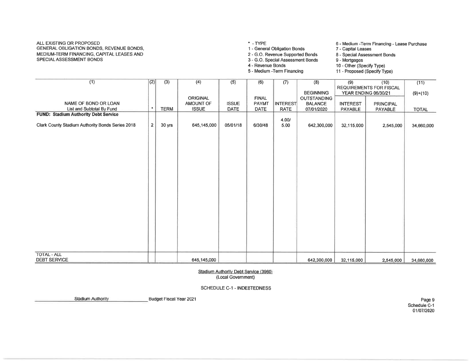#### ALL EXISTING OR PROPOSED GENERAL OBLIGATION BONDS, REVENUE BONDS. MEDIUM-TERM FINANCING, CAPITAL LEASES AND SPECIAL ASSESSMENT BONDS

 $*$  - TYPE

1 - General Obligation Bonds

2 - G.O. Revenue Supported Bonds 3 - G.O. Special Assessment Bonds

6 - Medium - Term Financing - Lease Purchase 7 - Capital Leases

- 
- 8 Special Assessment Bonds
- 9 Mortgages 10 - Other (Specify Type)
- 4 Revenue Bonds 5 - Medium - Term Financing

11 - Proposed (Specify Type)

| (1)                                              | (2)            | $\overline{(3)}$ | (4)             | $\overline{(5)}$ | (6)          | (7)             | (8)                | (9)             | (10)                           | (11)         |
|--------------------------------------------------|----------------|------------------|-----------------|------------------|--------------|-----------------|--------------------|-----------------|--------------------------------|--------------|
|                                                  |                |                  |                 |                  |              |                 |                    |                 | <b>REQUIREMENTS FOR FISCAL</b> |              |
|                                                  |                |                  |                 |                  |              |                 | <b>BEGINNING</b>   |                 | YEAR ENDING 06/30/21           | $(9)+(10)$   |
|                                                  |                |                  | <b>ORIGINAL</b> |                  | <b>FINAL</b> |                 | <b>OUTSTANDING</b> |                 |                                |              |
| NAME OF BOND OR LOAN                             |                |                  | AMOUNT OF       | <b>ISSUE</b>     | <b>PAYMT</b> | <b>INTEREST</b> | <b>BALANCE</b>     | <b>INTEREST</b> | PRINCIPAL                      |              |
| List and Subtotal By Fund                        | $\star$        | <b>TERM</b>      | <b>ISSUE</b>    | DATE             | DATE         | <b>RATE</b>     | 07/01/2020         | PAYABLE         | PAYABLE                        | <b>TOTAL</b> |
| <b>FUND: Stadium Authority Debt Service</b>      |                |                  |                 |                  |              |                 |                    |                 |                                |              |
|                                                  |                |                  |                 |                  |              | 4.00/           |                    |                 |                                |              |
| Clark County Stadium Authority Bonds Series 2018 | $\overline{2}$ | 30 yrs           | 645,145,000     | 05/01/18         | 6/30/48      | 5.00            | 642,300,000        | 32,115,000      | 2,545,000                      | 34,660,000   |
|                                                  |                |                  |                 |                  |              |                 |                    |                 |                                |              |
|                                                  |                |                  |                 |                  |              |                 |                    |                 |                                |              |
|                                                  |                |                  |                 |                  |              |                 |                    |                 |                                |              |
|                                                  |                |                  |                 |                  |              |                 |                    |                 |                                |              |
|                                                  |                |                  |                 |                  |              |                 |                    |                 |                                |              |
|                                                  |                |                  |                 |                  |              |                 |                    |                 |                                |              |
|                                                  |                |                  |                 |                  |              |                 |                    |                 |                                |              |
|                                                  |                |                  |                 |                  |              |                 |                    |                 |                                |              |
|                                                  |                |                  |                 |                  |              |                 |                    |                 |                                |              |
|                                                  |                |                  |                 |                  |              |                 |                    |                 |                                |              |
|                                                  |                |                  |                 |                  |              |                 |                    |                 |                                |              |
|                                                  |                |                  |                 |                  |              |                 |                    |                 |                                |              |
|                                                  |                |                  |                 |                  |              |                 |                    |                 |                                |              |
|                                                  |                |                  |                 |                  |              |                 |                    |                 |                                |              |
|                                                  |                |                  |                 |                  |              |                 |                    |                 |                                |              |
|                                                  |                |                  |                 |                  |              |                 |                    |                 |                                |              |
|                                                  |                |                  |                 |                  |              |                 |                    |                 |                                |              |
|                                                  |                |                  |                 |                  |              |                 |                    |                 |                                |              |
|                                                  |                |                  |                 |                  |              |                 |                    |                 |                                |              |
|                                                  |                |                  |                 |                  |              |                 |                    |                 |                                |              |
|                                                  |                |                  |                 |                  |              |                 |                    |                 |                                |              |
|                                                  |                |                  |                 |                  |              |                 |                    |                 |                                |              |
|                                                  |                |                  |                 |                  |              |                 |                    |                 |                                |              |
| <b>TOTAL - ALL</b>                               |                |                  |                 |                  |              |                 |                    |                 |                                |              |
| DEBT SERVICE                                     |                |                  | 645,145,000     |                  |              |                 | 642,300,000        | 32,115,000      | 2,545,000                      | 34,660,000   |
|                                                  |                |                  |                 |                  |              |                 |                    |                 |                                |              |

Stadium Authority Debt Service (3960) (Local Government)

SCHEDULE C-1 - INDEBTEDNESS

**Stadium Authority** Budget Fiscal Year 2021

Page 9 Schedule C-1 01/07/2020